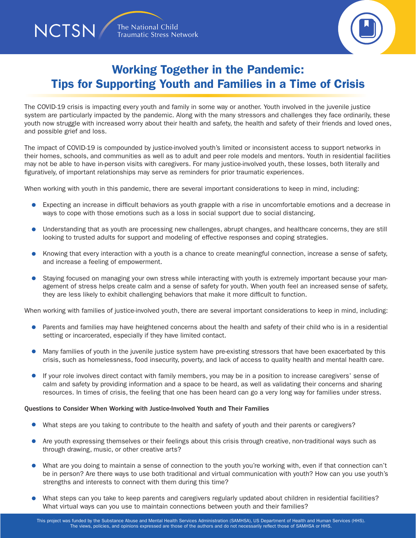**NCTSN** 



## Working Together in the Pandemic: Tips for Supporting Youth and Families in a Time of Crisis

The COVID-19 crisis is impacting every youth and family in some way or another. Youth involved in the juvenile justice system are particularly impacted by the pandemic. Along with the many stressors and challenges they face ordinarily, these youth now struggle with increased worry about their health and safety, the health and safety of their friends and loved ones, and possible grief and loss.

The impact of COVID-19 is compounded by justice-involved youth's limited or inconsistent access to support networks in their homes, schools, and communities as well as to adult and peer role models and mentors. Youth in residential facilities may not be able to have in-person visits with caregivers. For many justice-involved youth, these losses, both literally and figuratively, of important relationships may serve as reminders for prior traumatic experiences.

When working with youth in this pandemic, there are several important considerations to keep in mind, including:

- Expecting an increase in difficult behaviors as youth grapple with a rise in uncomfortable emotions and a decrease in ways to cope with those emotions such as a loss in social support due to social distancing.
- $\bullet$ Understanding that as youth are processing new challenges, abrupt changes, and healthcare concerns, they are still looking to trusted adults for support and modeling of effective responses and coping strategies.
- $\bullet$ Knowing that every interaction with a youth is a chance to create meaningful connection, increase a sense of safety, and increase a feeling of empowerment.
- Staying focused on managing your own stress while interacting with youth is extremely important because your management of stress helps create calm and a sense of safety for youth. When youth feel an increased sense of safety, they are less likely to exhibit challenging behaviors that make it more difficult to function.

When working with families of justice-involved youth, there are several important considerations to keep in mind, including:

- **•** Parents and families may have heightened concerns about the health and safety of their child who is in a residential setting or incarcerated, especially if they have limited contact.
- Many families of youth in the juvenile justice system have pre-existing stressors that have been exacerbated by this crisis, such as homelessness, food insecurity, poverty, and lack of access to quality health and mental health care.
- If your role involves direct contact with family members, you may be in a position to increase caregivers' sense of calm and safety by providing information and a space to be heard, as well as validating their concerns and sharing resources. In times of crisis, the feeling that one has been heard can go a very long way for families under stress.

#### Questions to Consider When Working with Justice-Involved Youth and Their Families

- What steps are you taking to contribute to the health and safety of youth and their parents or caregivers?
- Are youth expressing themselves or their feelings about this crisis through creative, non-traditional ways such as through drawing, music, or other creative arts?
- What are you doing to maintain a sense of connection to the youth you're working with, even if that connection can't be in person? Are there ways to use both traditional and virtual communication with youth? How can you use youth's strengths and interests to connect with them during this time?
- What steps can you take to keep parents and caregivers regularly updated about children in residential facilities? What virtual ways can you use to maintain connections between youth and their families?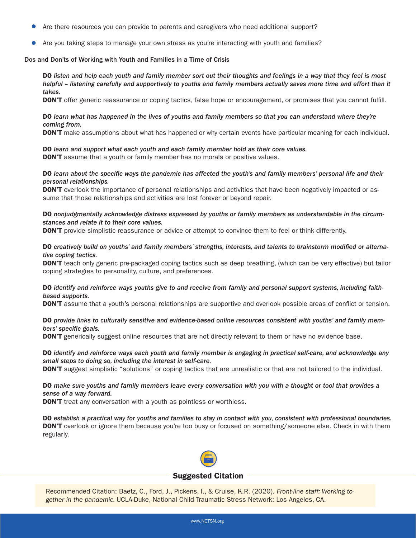- Are there resources you can provide to parents and caregivers who need additional support?
- Are you taking steps to manage your own stress as you're interacting with youth and families?

#### Dos and Don'ts of Working with Youth and Families in a Time of Crisis

DO *listen and help each youth and family member sort out their thoughts and feelings in a way that they feel is most helpful – listening carefully and supportively to youths and family members actually saves more time and effort than it takes.*

**DON'T** offer generic reassurance or coping tactics, false hope or encouragement, or promises that you cannot fulfill.

#### DO *learn what has happened in the lives of youths and family members so that you can understand where they're coming from.*

**DON'T** make assumptions about what has happened or why certain events have particular meaning for each individual.

#### DO *learn and support what each youth and each family member hold as their core values.*

**DON'T** assume that a youth or family member has no morals or positive values.

#### DO *learn about the specific ways the pandemic has affected the youth's and family members' personal life and their personal relationships.*

**DON'T** overlook the importance of personal relationships and activities that have been negatively impacted or assume that those relationships and activities are lost forever or beyond repair.

#### DO *nonjudgmentally acknowledge distress expressed by youths or family members as understandable in the circumstances and relate it to their core values.*

**DON'T** provide simplistic reassurance or advice or attempt to convince them to feel or think differently.

DO *creatively build on youths' and family members' strengths, interests, and talents to brainstorm modified or alternative coping tactics.*

**DON'T** teach only generic pre-packaged coping tactics such as deep breathing, (which can be very effective) but tailor coping strategies to personality, culture, and preferences.

#### DO *identify and reinforce ways youths give to and receive from family and personal support systems, including faithbased supports.*

**DON'T** assume that a youth's personal relationships are supportive and overlook possible areas of conflict or tension.

#### DO *provide links to culturally sensitive and evidence-based online resources consistent with youths' and family members' specific goals.*

**DON'T** generically suggest online resources that are not directly relevant to them or have no evidence base.

#### DO *identify and reinforce ways each youth and family member is engaging in practical self-care, and acknowledge any small steps to doing so, including the interest in self-care.*

**DON'T** suggest simplistic "solutions" or coping tactics that are unrealistic or that are not tailored to the individual.

#### DO *make sure youths and family members leave every conversation with you with a thought or tool that provides a sense of a way forward.*

**DON'T** treat any conversation with a youth as pointless or worthless.

DO *establish a practical way for youths and families to stay in contact with you, consistent with professional boundaries.* **DON'T** overlook or ignore them because you're too busy or focused on something/someone else. Check in with them regularly.



#### Suggested Citation

Recommended Citation: Baetz, C., Ford, J., Pickens, I., & Cruise, K.R. (2020). *Front-line staff: Working together in the pandemic.* UCLA-Duke, National Child Traumatic Stress Network: Los Angeles, CA.